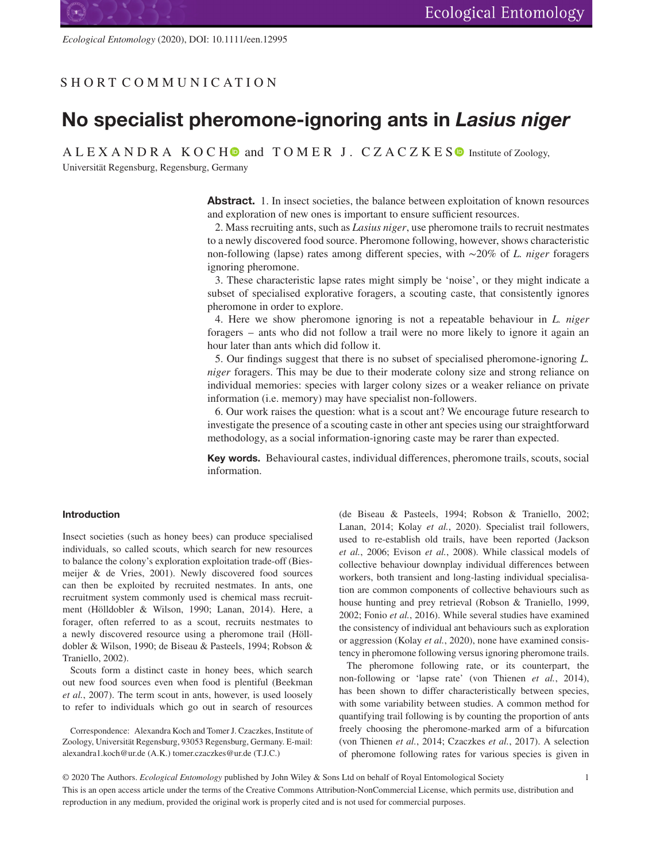SHORT COMMUN ICAT ION

*Ecological Entomology* (2020), DOI: 10.1111/een.12995

# **No specialist pheromone-ignoring ants in** *Lasius niger*

 $A \perp E X A N D R A K O C H$  and  $T O M E R J$ .  $C Z A C Z K E S$  Institute of Zoology,

Universität Regensburg, Regensburg, Germany

**Abstract.** 1. In insect societies, the balance between exploitation of known resources and exploration of new ones is important to ensure sufficient resources.

2. Mass recruiting ants, such as *Lasius niger*, use pheromone trails to recruit nestmates to a newly discovered food source. Pheromone following, however, shows characteristic non-following (lapse) rates among different species, with ∼20% of *L. niger* foragers ignoring pheromone.

3. These characteristic lapse rates might simply be 'noise', or they might indicate a subset of specialised explorative foragers, a scouting caste, that consistently ignores pheromone in order to explore.

4. Here we show pheromone ignoring is not a repeatable behaviour in *L. niger* foragers – ants who did not follow a trail were no more likely to ignore it again an hour later than ants which did follow it.

5. Our findings suggest that there is no subset of specialised pheromone-ignoring *L. niger* foragers. This may be due to their moderate colony size and strong reliance on individual memories: species with larger colony sizes or a weaker reliance on private information (i.e. memory) may have specialist non-followers.

6. Our work raises the question: what is a scout ant? We encourage future research to investigate the presence of a scouting caste in other ant species using our straightforward methodology, as a social information-ignoring caste may be rarer than expected.

**Key words.** Behavioural castes, individual differences, pheromone trails, scouts, social information.

## **Introduction**

Insect societies (such as honey bees) can produce specialised individuals, so called scouts, which search for new resources to balance the colony's exploration exploitation trade-off (Biesmeijer & de Vries, 2001). Newly discovered food sources can then be exploited by recruited nestmates. In ants, one recruitment system commonly used is chemical mass recruitment (Hölldobler & Wilson, 1990; Lanan, 2014). Here, a forager, often referred to as a scout, recruits nestmates to a newly discovered resource using a pheromone trail (Hölldobler & Wilson, 1990; de Biseau & Pasteels, 1994; Robson & Traniello, 2002).

Scouts form a distinct caste in honey bees, which search out new food sources even when food is plentiful (Beekman *et al.*, 2007). The term scout in ants, however, is used loosely to refer to individuals which go out in search of resources

Correspondence: Alexandra Koch and Tomer J. Czaczkes, Institute of Zoology, Universität Regensburg, 93053 Regensburg, Germany. E-mail: alexandra1.koch@ur.de (A.K.) tomer.czaczkes@ur.de (T.J.C.)

(de Biseau & Pasteels, 1994; Robson & Traniello, 2002; Lanan, 2014; Kolay *et al.*, 2020). Specialist trail followers, used to re-establish old trails, have been reported (Jackson *et al.*, 2006; Evison *et al.*, 2008). While classical models of collective behaviour downplay individual differences between workers, both transient and long-lasting individual specialisation are common components of collective behaviours such as house hunting and prey retrieval (Robson & Traniello, 1999, 2002; Fonio *et al.*, 2016). While several studies have examined the consistency of individual ant behaviours such as exploration or aggression (Kolay *et al.*, 2020), none have examined consistency in pheromone following versus ignoring pheromone trails.

The pheromone following rate, or its counterpart, the non-following or 'lapse rate' (von Thienen *et al.*, 2014), has been shown to differ characteristically between species, with some variability between studies. A common method for quantifying trail following is by counting the proportion of ants freely choosing the pheromone-marked arm of a bifurcation (von Thienen *et al.*, 2014; Czaczkes *et al.*, 2017). A selection of pheromone following rates for various species is given in

© 2020 The Authors. *Ecological Entomology* published by John Wiley & Sons Ltd on behalf of Royal Entomological Society 1 This is an open access article under the terms of the Creative Commons Attribution-NonCommercial License, which permits use, distribution and reproduction in any medium, provided the original work is properly cited and is not used for commercial purposes.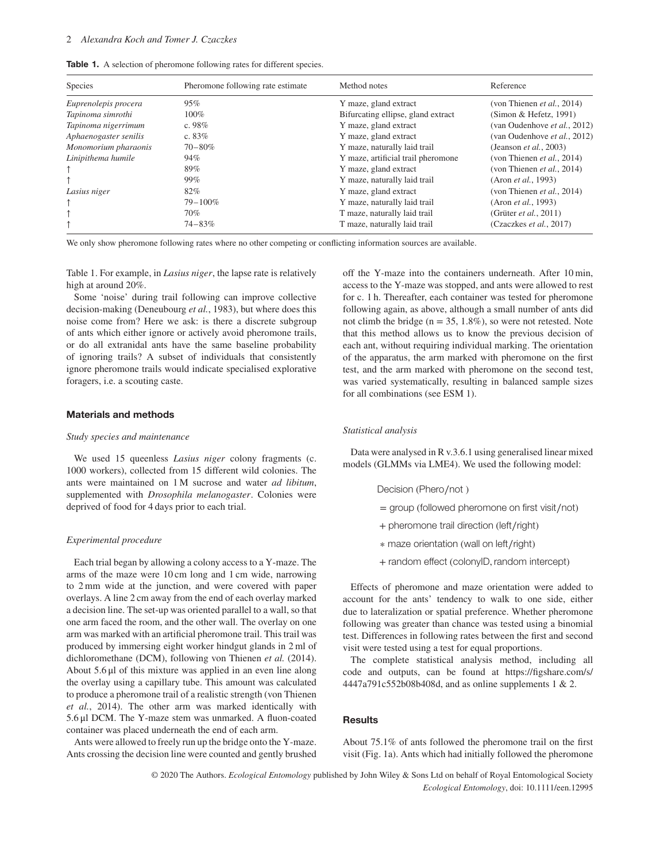|  |  |  | <b>Table 1.</b> A selection of pheromone following rates for different species |  |  |  |  |
|--|--|--|--------------------------------------------------------------------------------|--|--|--|--|
|--|--|--|--------------------------------------------------------------------------------|--|--|--|--|

| Species               | Pheromone following rate estimate | Method notes                       | Reference                          |
|-----------------------|-----------------------------------|------------------------------------|------------------------------------|
| Euprenolepis procera  | 95%                               | Y maze, gland extract              | (von Thienen <i>et al.</i> , 2014) |
| Tapinoma simrothi     | 100%                              | Bifurcating ellipse, gland extract | (Simon & Hefetz, 1991)             |
| Tapinoma nigerrimum   | c. $98%$                          | Y maze, gland extract              | (van Oudenhove et al., 2012)       |
| Aphaenogaster senilis | c. $83%$                          | Y maze, gland extract              | (van Oudenhove et al., 2012)       |
| Monomorium pharaonis  | $70 - 80\%$                       | Y maze, naturally laid trail       | (Jeanson et al., 2003)             |
| Linipithema humile    | 94%                               | Y maze, artificial trail pheromone | (von Thienen et al., 2014)         |
|                       | 89%                               | Y maze, gland extract              | (von Thienen et al., 2014)         |
|                       | 99%                               | Y maze, naturally laid trail       | (Aron <i>et al.</i> , 1993)        |
| Lasius niger          | 82%                               | Y maze, gland extract              | (von Thienen <i>et al.</i> , 2014) |
|                       | $79 - 100\%$                      | Y maze, naturally laid trail       | (Aron <i>et al.</i> , 1993)        |
|                       | 70%                               | T maze, naturally laid trail       | (Grüter <i>et al.</i> , 2011)      |
|                       | $74 - 83%$                        | T maze, naturally laid trail       | (Czaczkes <i>et al.</i> , 2017)    |

We only show pheromone following rates where no other competing or conflicting information sources are available.

Table 1. For example, in *Lasius niger*, the lapse rate is relatively high at around 20%.

Some 'noise' during trail following can improve collective decision-making (Deneubourg *et al.*, 1983), but where does this noise come from? Here we ask: is there a discrete subgroup of ants which either ignore or actively avoid pheromone trails, or do all extranidal ants have the same baseline probability of ignoring trails? A subset of individuals that consistently ignore pheromone trails would indicate specialised explorative foragers, i.e. a scouting caste.

## **Materials and methods**

### *Study species and maintenance*

We used 15 queenless *Lasius niger* colony fragments (c. 1000 workers), collected from 15 different wild colonies. The ants were maintained on 1 M sucrose and water *ad libitum*, supplemented with *Drosophila melanogaster*. Colonies were deprived of food for 4 days prior to each trial.

#### *Experimental procedure*

Each trial began by allowing a colony access to a Y-maze. The arms of the maze were 10 cm long and 1 cm wide, narrowing to 2 mm wide at the junction, and were covered with paper overlays. A line 2 cm away from the end of each overlay marked a decision line. The set-up was oriented parallel to a wall, so that one arm faced the room, and the other wall. The overlay on one arm was marked with an artificial pheromone trail. This trail was produced by immersing eight worker hindgut glands in 2 ml of dichloromethane (DCM), following von Thienen *et al.* (2014). About 5.6 μl of this mixture was applied in an even line along the overlay using a capillary tube. This amount was calculated to produce a pheromone trail of a realistic strength (von Thienen *et al.*, 2014). The other arm was marked identically with 5.6 μl DCM. The Y-maze stem was unmarked. A fluon-coated container was placed underneath the end of each arm.

Ants were allowed to freely run up the bridge onto the Y-maze. Ants crossing the decision line were counted and gently brushed off the Y-maze into the containers underneath. After 10 min, access to the Y-maze was stopped, and ants were allowed to rest for c. 1 h. Thereafter, each container was tested for pheromone following again, as above, although a small number of ants did not climb the bridge ( $n = 35, 1.8\%$ ), so were not retested. Note that this method allows us to know the previous decision of each ant, without requiring individual marking. The orientation of the apparatus, the arm marked with pheromone on the first test, and the arm marked with pheromone on the second test, was varied systematically, resulting in balanced sample sizes for all combinations (see ESM 1).

#### *Statistical analysis*

Data were analysed in R v.3.6.1 using generalised linear mixed models (GLMMs via LME4). We used the following model:

- Decision (Phero∕not )
- = group (followed pheromone on first visit∕not)
- + pheromone trail direction (left∕right)
- ∗ maze orientation (wall on left∕right)
- + random effect (colonyID*,* random intercept)

Effects of pheromone and maze orientation were added to account for the ants' tendency to walk to one side, either due to lateralization or spatial preference. Whether pheromone following was greater than chance was tested using a binomial test. Differences in following rates between the first and second visit were tested using a test for equal proportions.

The complete statistical analysis method, including all code and outputs, can be found at [https://figshare.com/s/](https://figshare.com/s/4447a791c552b08b408d) [4447a791c552b08b408d,](https://figshare.com/s/4447a791c552b08b408d) and as online supplements 1 & 2.

#### **Results**

About 75.1% of ants followed the pheromone trail on the first visit (Fig. 1a). Ants which had initially followed the pheromone

© 2020 The Authors. *Ecological Entomology* published by John Wiley & Sons Ltd on behalf of Royal Entomological Society *Ecological Entomology*, doi: 10.1111/een.12995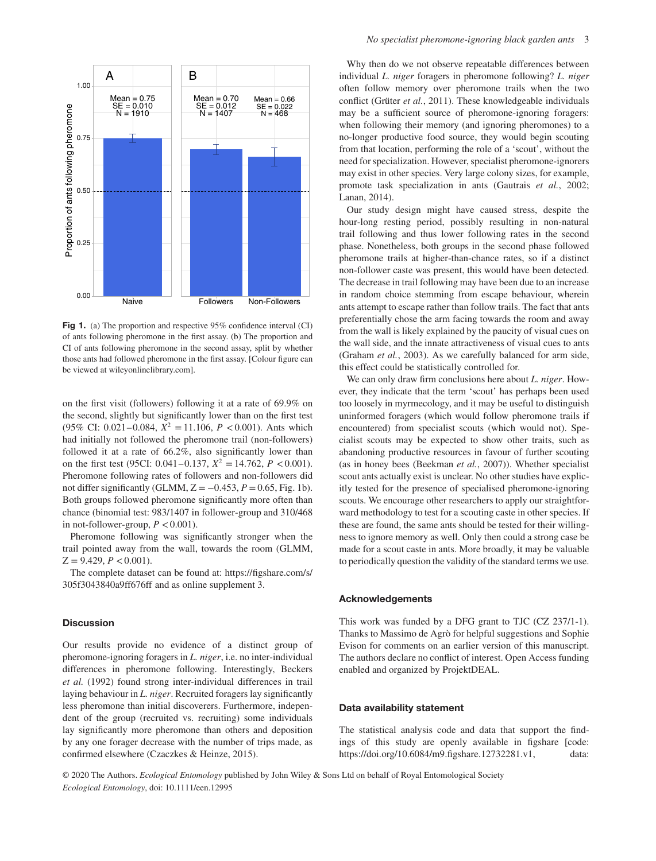

**Fig 1.** (a) The proportion and respective 95% confidence interval (CI) of ants following pheromone in the first assay. (b) The proportion and CI of ants following pheromone in the second assay, split by whether those ants had followed pheromone in the first assay. [Colour figure can be viewed at [wileyonlinelibrary.com\]](http://wileyonlinelibrary.com).

on the first visit (followers) following it at a rate of 69.9% on the second, slightly but significantly lower than on the first test (95% CI: 0.021–0.084,  $X^2 = 11.106$ ,  $P < 0.001$ ). Ants which had initially not followed the pheromone trail (non-followers) followed it at a rate of 66.2%, also significantly lower than on the first test (95CI: 0.041–0.137,  $X^2 = 14.762$ ,  $P < 0.001$ ). Pheromone following rates of followers and non-followers did not differ significantly (GLMM,  $Z = -0.453$ ,  $P = 0.65$ , Fig. 1b). Both groups followed pheromone significantly more often than chance (binomial test: 983/1407 in follower-group and 310/468 in not-follower-group,  $P < 0.001$ ).

Pheromone following was significantly stronger when the trail pointed away from the wall, towards the room (GLMM,  $Z = 9.429, P < 0.001$ .

The complete dataset can be found at: [https://figshare.com/s/](https://figshare.com/s/305f3043840a9ff676ff) [305f3043840a9ff676ff](https://figshare.com/s/305f3043840a9ff676ff) and as online supplement 3.

#### **Discussion**

Our results provide no evidence of a distinct group of pheromone-ignoring foragers in *L. niger*, i.e. no inter-individual differences in pheromone following. Interestingly, Beckers *et al.* (1992) found strong inter-individual differences in trail laying behaviour in *L. niger*. Recruited foragers lay significantly less pheromone than initial discoverers. Furthermore, independent of the group (recruited vs. recruiting) some individuals lay significantly more pheromone than others and deposition by any one forager decrease with the number of trips made, as confirmed elsewhere (Czaczkes & Heinze, 2015).

Why then do we not observe repeatable differences between individual *L. niger* foragers in pheromone following? *L. niger* often follow memory over pheromone trails when the two conflict (Grüter *et al.*, 2011). These knowledgeable individuals may be a sufficient source of pheromone-ignoring foragers: when following their memory (and ignoring pheromones) to a no-longer productive food source, they would begin scouting from that location, performing the role of a 'scout', without the need for specialization. However, specialist pheromone-ignorers may exist in other species. Very large colony sizes, for example, promote task specialization in ants (Gautrais *et al.*, 2002; Lanan, 2014).

Our study design might have caused stress, despite the hour-long resting period, possibly resulting in non-natural trail following and thus lower following rates in the second phase. Nonetheless, both groups in the second phase followed pheromone trails at higher-than-chance rates, so if a distinct non-follower caste was present, this would have been detected. The decrease in trail following may have been due to an increase in random choice stemming from escape behaviour, wherein ants attempt to escape rather than follow trails. The fact that ants preferentially chose the arm facing towards the room and away from the wall is likely explained by the paucity of visual cues on the wall side, and the innate attractiveness of visual cues to ants (Graham *et al.*, 2003). As we carefully balanced for arm side, this effect could be statistically controlled for.

We can only draw firm conclusions here about *L. niger*. However, they indicate that the term 'scout' has perhaps been used too loosely in myrmecology, and it may be useful to distinguish uninformed foragers (which would follow pheromone trails if encountered) from specialist scouts (which would not). Specialist scouts may be expected to show other traits, such as abandoning productive resources in favour of further scouting (as in honey bees (Beekman *et al.*, 2007)). Whether specialist scout ants actually exist is unclear. No other studies have explicitly tested for the presence of specialised pheromone-ignoring scouts. We encourage other researchers to apply our straightforward methodology to test for a scouting caste in other species. If these are found, the same ants should be tested for their willingness to ignore memory as well. Only then could a strong case be made for a scout caste in ants. More broadly, it may be valuable to periodically question the validity of the standard terms we use.

#### **Acknowledgements**

This work was funded by a DFG grant to TJC (CZ 237/1-1). Thanks to Massimo de Agrò for helpful suggestions and Sophie Evison for comments on an earlier version of this manuscript. The authors declare no conflict of interest. Open Access funding enabled and organized by ProjektDEAL.

#### **Data availability statement**

The statistical analysis code and data that support the findings of this study are openly available in figshare [code: https://doi.org/10.6084/m9.figshare.12732281.v1, data:

© 2020 The Authors. *Ecological Entomology* published by John Wiley & Sons Ltd on behalf of Royal Entomological Society *Ecological Entomology*, doi: 10.1111/een.12995